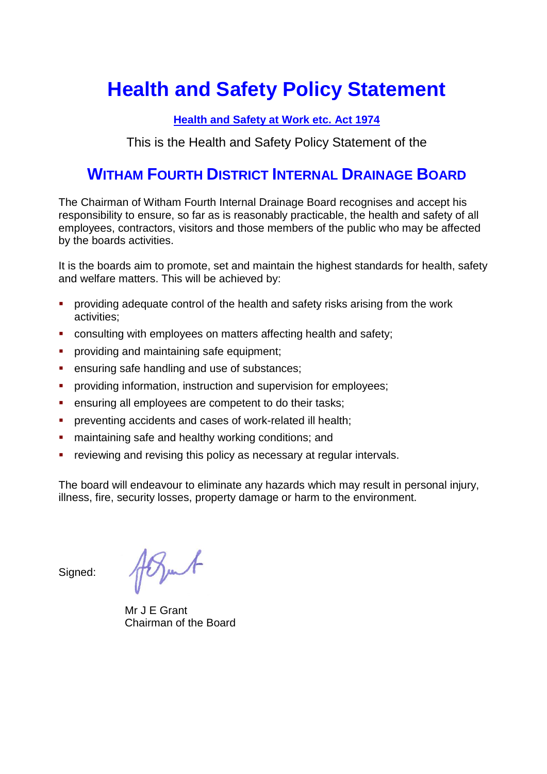# **Health and Safety Policy Statement**

#### **Health and Safety at Work etc. Act 1974**

This is the Health and Safety Policy Statement of the

# **WITHAM FOURTH DISTRICT INTERNAL DRAINAGE BOARD**

The Chairman of Witham Fourth Internal Drainage Board recognises and accept his responsibility to ensure, so far as is reasonably practicable, the health and safety of all employees, contractors, visitors and those members of the public who may be affected by the boards activities.

It is the boards aim to promote, set and maintain the highest standards for health, safety and welfare matters. This will be achieved by:

- **•** providing adequate control of the health and safety risks arising from the work activities;
- consulting with employees on matters affecting health and safety;
- **•** providing and maintaining safe equipment;
- ensuring safe handling and use of substances:
- **•** providing information, instruction and supervision for employees;
- ensuring all employees are competent to do their tasks;
- **•** preventing accidents and cases of work-related ill health;
- maintaining safe and healthy working conditions; and
- reviewing and revising this policy as necessary at regular intervals.

The board will endeavour to eliminate any hazards which may result in personal injury, illness, fire, security losses, property damage or harm to the environment.

Signed:

Popul

Mr J E Grant Chairman of the Board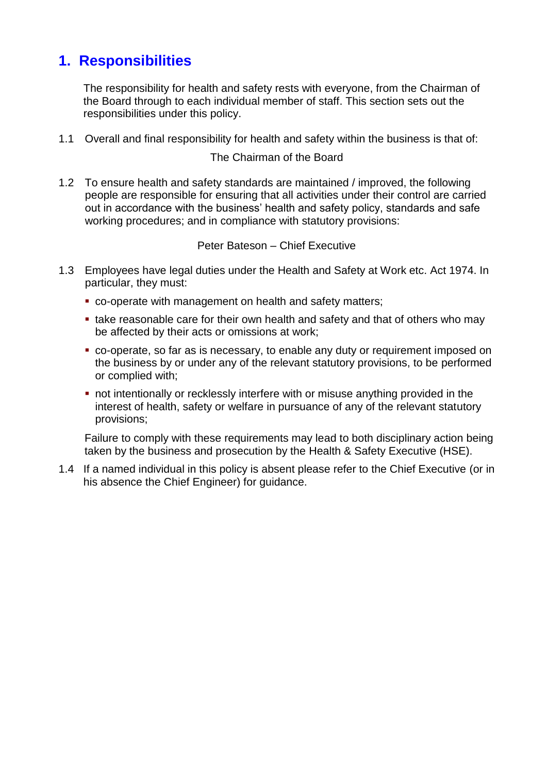## **1. Responsibilities**

The responsibility for health and safety rests with everyone, from the Chairman of the Board through to each individual member of staff. This section sets out the responsibilities under this policy.

1.1 Overall and final responsibility for health and safety within the business is that of:

#### The Chairman of the Board

1.2 To ensure health and safety standards are maintained / improved, the following people are responsible for ensuring that all activities under their control are carried out in accordance with the business' health and safety policy, standards and safe working procedures; and in compliance with statutory provisions:

#### Peter Bateson – Chief Executive

- 1.3 Employees have legal duties under the Health and Safety at Work etc. Act 1974. In particular, they must:
	- co-operate with management on health and safety matters;
	- take reasonable care for their own health and safety and that of others who may be affected by their acts or omissions at work;
	- co-operate, so far as is necessary, to enable any duty or requirement imposed on the business by or under any of the relevant statutory provisions, to be performed or complied with;
	- **not intentionally or recklessly interfere with or misuse anything provided in the** interest of health, safety or welfare in pursuance of any of the relevant statutory provisions;

Failure to comply with these requirements may lead to both disciplinary action being taken by the business and prosecution by the Health & Safety Executive (HSE).

1.4 If a named individual in this policy is absent please refer to the Chief Executive (or in his absence the Chief Engineer) for guidance.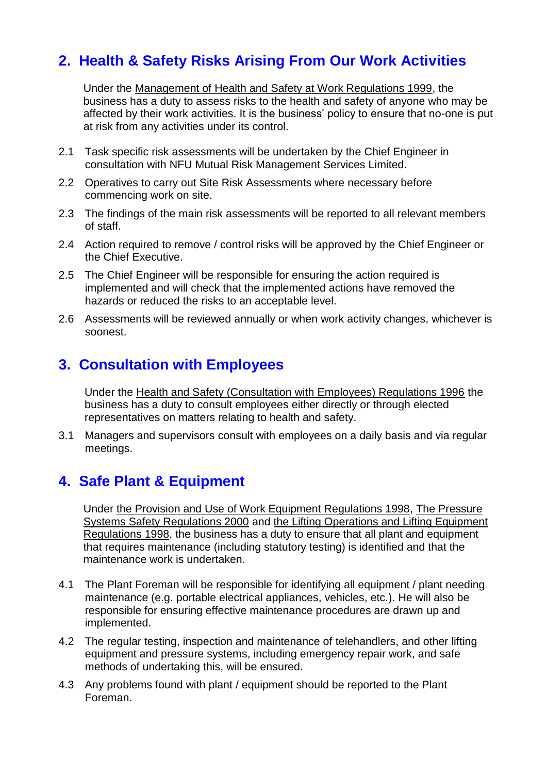# **2. Health & Safety Risks Arising From Our Work Activities**

Under the Management of Health and Safety at Work Regulations 1999, the business has a duty to assess risks to the health and safety of anyone who may be affected by their work activities. It is the business' policy to ensure that no-one is put at risk from any activities under its control.

- 2.1 Task specific risk assessments will be undertaken by the Chief Engineer in consultation with NFU Mutual Risk Management Services Limited.
- 2.2 Operatives to carry out Site Risk Assessments where necessary before commencing work on site.
- 2.3 The findings of the main risk assessments will be reported to all relevant members of staff.
- 2.4 Action required to remove / control risks will be approved by the Chief Engineer or the Chief Executive.
- 2.5 The Chief Engineer will be responsible for ensuring the action required is implemented and will check that the implemented actions have removed the hazards or reduced the risks to an acceptable level.
- 2.6 Assessments will be reviewed annually or when work activity changes, whichever is soonest.

### **3. Consultation with Employees**

Under the Health and Safety (Consultation with Employees) Regulations 1996 the business has a duty to consult employees either directly or through elected representatives on matters relating to health and safety.

3.1 Managers and supervisors consult with employees on a daily basis and via regular meetings.

### **4. Safe Plant & Equipment**

Under the Provision and Use of Work Equipment Regulations 1998, The Pressure Systems Safety Regulations 2000 and the Lifting Operations and Lifting Equipment Regulations 1998, the business has a duty to ensure that all plant and equipment that requires maintenance (including statutory testing) is identified and that the maintenance work is undertaken.

- 4.1 The Plant Foreman will be responsible for identifying all equipment / plant needing maintenance (e.g. portable electrical appliances, vehicles, etc.). He will also be responsible for ensuring effective maintenance procedures are drawn up and implemented.
- 4.2 The regular testing, inspection and maintenance of telehandlers, and other lifting equipment and pressure systems, including emergency repair work, and safe methods of undertaking this, will be ensured.
- 4.3 Any problems found with plant / equipment should be reported to the Plant Foreman.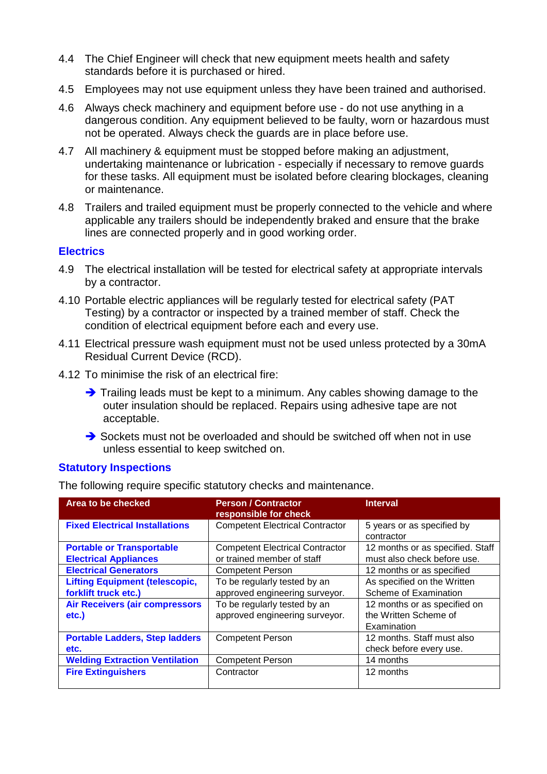- 4.4 The Chief Engineer will check that new equipment meets health and safety standards before it is purchased or hired.
- 4.5 Employees may not use equipment unless they have been trained and authorised.
- 4.6 Always check machinery and equipment before use do not use anything in a dangerous condition. Any equipment believed to be faulty, worn or hazardous must not be operated. Always check the guards are in place before use.
- 4.7 All machinery & equipment must be stopped before making an adjustment, undertaking maintenance or lubrication - especially if necessary to remove guards for these tasks. All equipment must be isolated before clearing blockages, cleaning or maintenance.
- 4.8 Trailers and trailed equipment must be properly connected to the vehicle and where applicable any trailers should be independently braked and ensure that the brake lines are connected properly and in good working order.

#### **Electrics**

- 4.9 The electrical installation will be tested for electrical safety at appropriate intervals by a contractor.
- 4.10 Portable electric appliances will be regularly tested for electrical safety (PAT Testing) by a contractor or inspected by a trained member of staff. Check the condition of electrical equipment before each and every use.
- 4.11 Electrical pressure wash equipment must not be used unless protected by a 30mA Residual Current Device (RCD).
- 4.12 To minimise the risk of an electrical fire:
	- ➔ Trailing leads must be kept to a minimum. Any cables showing damage to the outer insulation should be replaced. Repairs using adhesive tape are not acceptable.
	- ➔ Sockets must not be overloaded and should be switched off when not in use unless essential to keep switched on.

#### **Statutory Inspections**

The following require specific statutory checks and maintenance.

| Area to be checked                                               | <b>Person / Contractor</b><br>responsible for check                  | <b>Interval</b>                                                      |
|------------------------------------------------------------------|----------------------------------------------------------------------|----------------------------------------------------------------------|
| <b>Fixed Electrical Installations</b>                            | <b>Competent Electrical Contractor</b>                               | 5 years or as specified by<br>contractor                             |
| <b>Portable or Transportable</b><br><b>Electrical Appliances</b> | <b>Competent Electrical Contractor</b><br>or trained member of staff | 12 months or as specified. Staff<br>must also check before use.      |
| <b>Electrical Generators</b>                                     | <b>Competent Person</b>                                              | 12 months or as specified                                            |
| <b>Lifting Equipment (telescopic,</b><br>forklift truck etc.)    | To be regularly tested by an<br>approved engineering surveyor.       | As specified on the Written<br>Scheme of Examination                 |
| <b>Air Receivers (air compressors</b><br>etc.)                   | To be regularly tested by an<br>approved engineering surveyor.       | 12 months or as specified on<br>the Written Scheme of<br>Examination |
| <b>Portable Ladders, Step ladders</b><br>etc.                    | <b>Competent Person</b>                                              | 12 months. Staff must also<br>check before every use.                |
| <b>Welding Extraction Ventilation</b>                            | <b>Competent Person</b>                                              | 14 months                                                            |
| <b>Fire Extinguishers</b>                                        | Contractor                                                           | 12 months                                                            |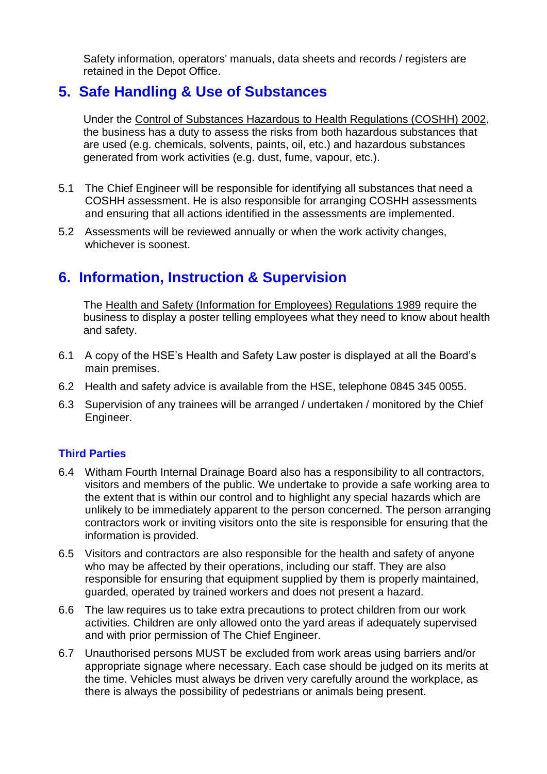Safety information, operators' manuals, data sheets and records / registers are retained in the Depot Office.

### **5. Safe Handling & Use of Substances**

Under the Control of Substances Hazardous to Health Regulations (COSHH) 2002, the business has a duty to assess the risks from both hazardous substances that are used (e.g. chemicals, solvents, paints, oil, etc.) and hazardous substances generated from work activities (e.g. dust, fume, vapour, etc.).

- 5.1 The Chief Engineer will be responsible for identifying all substances that need a COSHH assessment. He is also responsible for arranging COSHH assessments and ensuring that all actions identified in the assessments are implemented.
- 5.2 Assessments will be reviewed annually or when the work activity changes, whichever is soonest.

## **6. Information, Instruction & Supervision**

The Health and Safety (Information for Employees) Regulations 1989 require the business to display a poster telling employees what they need to know about health and safety.

- 6.1 A copy of the HSE's Health and Safety Law poster is displayed at all the Board's main premises.
- 6.2 Health and safety advice is available from the HSE, telephone 0845 345 0055.
- 6.3 Supervision of any trainees will be arranged / undertaken / monitored by the Chief Engineer.

#### **Third Parties**

- 6.4 Witham Fourth Internal Drainage Board also has a responsibility to all contractors, visitors and members of the public. We undertake to provide a safe working area to the extent that is within our control and to highlight any special hazards which are unlikely to be immediately apparent to the person concerned. The person arranging contractors work or inviting visitors onto the site is responsible for ensuring that the information is provided.
- 6.5 Visitors and contractors are also responsible for the health and safety of anyone who may be affected by their operations, including our staff. They are also responsible for ensuring that equipment supplied by them is properly maintained, guarded, operated by trained workers and does not present a hazard.
- 6.6 The law requires us to take extra precautions to protect children from our work activities. Children are only allowed onto the yard areas if adequately supervised and with prior permission of The Chief Engineer.
- 6.7 Unauthorised persons MUST be excluded from work areas using barriers and/or appropriate signage where necessary. Each case should be judged on its merits at the time. Vehicles must always be driven very carefully around the workplace, as there is always the possibility of pedestrians or animals being present.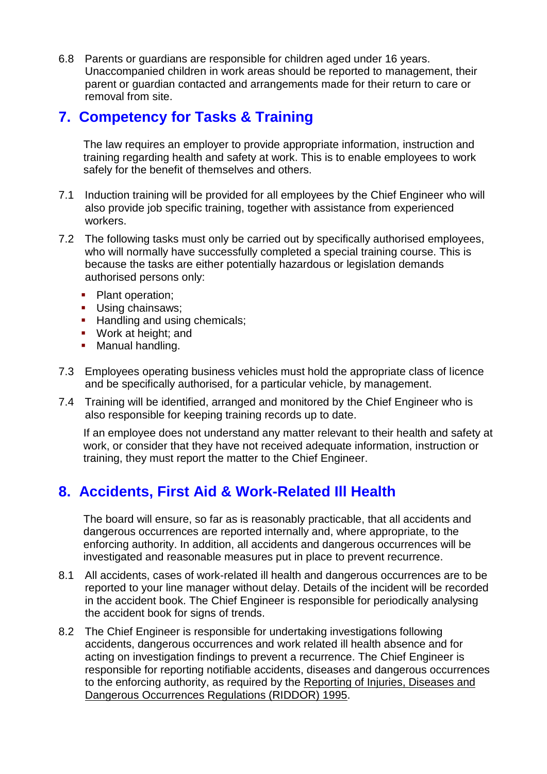6.8 Parents or guardians are responsible for children aged under 16 years. Unaccompanied children in work areas should be reported to management, their parent or guardian contacted and arrangements made for their return to care or removal from site.

### **7. Competency for Tasks & Training**

The law requires an employer to provide appropriate information, instruction and training regarding health and safety at work. This is to enable employees to work safely for the benefit of themselves and others.

- 7.1 Induction training will be provided for all employees by the Chief Engineer who will also provide job specific training, together with assistance from experienced workers.
- 7.2 The following tasks must only be carried out by specifically authorised employees, who will normally have successfully completed a special training course. This is because the tasks are either potentially hazardous or legislation demands authorised persons only:
	- **•** Plant operation;
	- **■** Using chainsaws;
	- **EXECUTE:** Handling and using chemicals;
	- Work at height; and
	- **■** Manual handling.
- 7.3 Employees operating business vehicles must hold the appropriate class of licence and be specifically authorised, for a particular vehicle, by management.
- 7.4 Training will be identified, arranged and monitored by the Chief Engineer who is also responsible for keeping training records up to date.

If an employee does not understand any matter relevant to their health and safety at work, or consider that they have not received adequate information, instruction or training, they must report the matter to the Chief Engineer.

## **8. Accidents, First Aid & Work-Related Ill Health**

The board will ensure, so far as is reasonably practicable, that all accidents and dangerous occurrences are reported internally and, where appropriate, to the enforcing authority. In addition, all accidents and dangerous occurrences will be investigated and reasonable measures put in place to prevent recurrence.

- 8.1 All accidents, cases of work-related ill health and dangerous occurrences are to be reported to your line manager without delay. Details of the incident will be recorded in the accident book. The Chief Engineer is responsible for periodically analysing the accident book for signs of trends.
- 8.2 The Chief Engineer is responsible for undertaking investigations following accidents, dangerous occurrences and work related ill health absence and for acting on investigation findings to prevent a recurrence. The Chief Engineer is responsible for reporting notifiable accidents, diseases and dangerous occurrences to the enforcing authority, as required by the Reporting of Injuries, Diseases and Dangerous Occurrences Regulations (RIDDOR) 1995.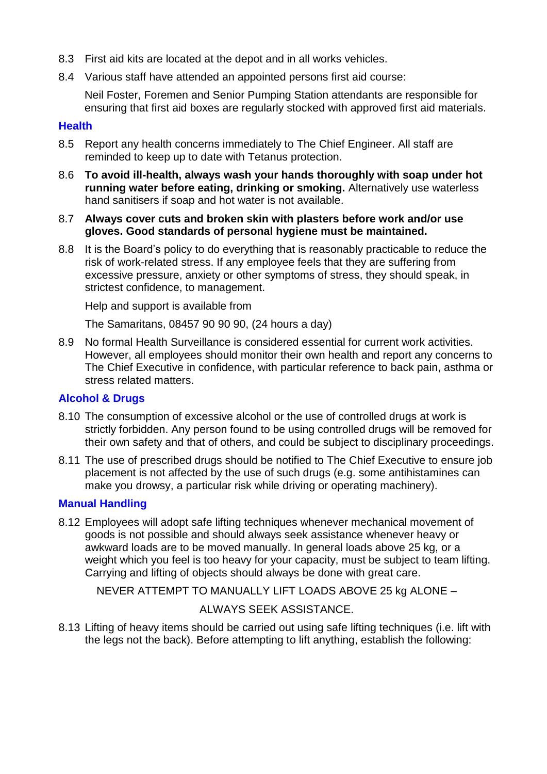- 8.3 First aid kits are located at the depot and in all works vehicles.
- 8.4 Various staff have attended an appointed persons first aid course:

Neil Foster, Foremen and Senior Pumping Station attendants are responsible for ensuring that first aid boxes are regularly stocked with approved first aid materials.

#### **Health**

- 8.5 Report any health concerns immediately to The Chief Engineer. All staff are reminded to keep up to date with Tetanus protection.
- 8.6 **To avoid ill-health, always wash your hands thoroughly with soap under hot running water before eating, drinking or smoking.** Alternatively use waterless hand sanitisers if soap and hot water is not available.
- 8.7 **Always cover cuts and broken skin with plasters before work and/or use gloves. Good standards of personal hygiene must be maintained.**
- 8.8 It is the Board's policy to do everything that is reasonably practicable to reduce the risk of work-related stress. If any employee feels that they are suffering from excessive pressure, anxiety or other symptoms of stress, they should speak, in strictest confidence, to management.

Help and support is available from

The Samaritans, 08457 90 90 90, (24 hours a day)

8.9 No formal Health Surveillance is considered essential for current work activities. However, all employees should monitor their own health and report any concerns to The Chief Executive in confidence, with particular reference to back pain, asthma or stress related matters.

#### **Alcohol & Drugs**

- 8.10 The consumption of excessive alcohol or the use of controlled drugs at work is strictly forbidden. Any person found to be using controlled drugs will be removed for their own safety and that of others, and could be subject to disciplinary proceedings.
- 8.11 The use of prescribed drugs should be notified to The Chief Executive to ensure job placement is not affected by the use of such drugs (e.g. some antihistamines can make you drowsy, a particular risk while driving or operating machinery).

#### **Manual Handling**

8.12 Employees will adopt safe lifting techniques whenever mechanical movement of goods is not possible and should always seek assistance whenever heavy or awkward loads are to be moved manually. In general loads above 25 kg, or a weight which you feel is too heavy for your capacity, must be subject to team lifting. Carrying and lifting of objects should always be done with great care.

NEVER ATTEMPT TO MANUALLY LIFT LOADS ABOVE 25 kg ALONE –

#### ALWAYS SEEK ASSISTANCE.

8.13 Lifting of heavy items should be carried out using safe lifting techniques (i.e. lift with the legs not the back). Before attempting to lift anything, establish the following: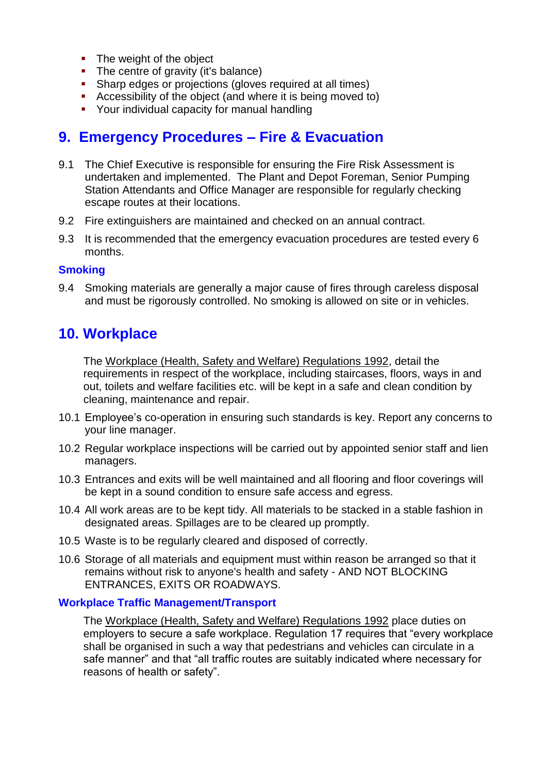- The weight of the object
- **•** The centre of gravity (it's balance)
- Sharp edges or projections (gloves required at all times)
- Accessibility of the object (and where it is being moved to)
- Your individual capacity for manual handling

### **9. Emergency Procedures – Fire & Evacuation**

- 9.1 The Chief Executive is responsible for ensuring the Fire Risk Assessment is undertaken and implemented. The Plant and Depot Foreman, Senior Pumping Station Attendants and Office Manager are responsible for regularly checking escape routes at their locations.
- 9.2 Fire extinguishers are maintained and checked on an annual contract.
- 9.3 It is recommended that the emergency evacuation procedures are tested every 6 months.

#### **Smoking**

9.4 Smoking materials are generally a major cause of fires through careless disposal and must be rigorously controlled. No smoking is allowed on site or in vehicles.

### **10. Workplace**

The Workplace (Health, Safety and Welfare) Regulations 1992, detail the requirements in respect of the workplace, including staircases, floors, ways in and out, toilets and welfare facilities etc. will be kept in a safe and clean condition by cleaning, maintenance and repair.

- 10.1 Employee's co-operation in ensuring such standards is key. Report any concerns to your line manager.
- 10.2 Regular workplace inspections will be carried out by appointed senior staff and lien managers.
- 10.3 Entrances and exits will be well maintained and all flooring and floor coverings will be kept in a sound condition to ensure safe access and egress.
- 10.4 All work areas are to be kept tidy. All materials to be stacked in a stable fashion in designated areas. Spillages are to be cleared up promptly.
- 10.5 Waste is to be regularly cleared and disposed of correctly.
- 10.6 Storage of all materials and equipment must within reason be arranged so that it remains without risk to anyone's health and safety - AND NOT BLOCKING ENTRANCES, EXITS OR ROADWAYS.

#### **Workplace Traffic Management/Transport**

The Workplace (Health, Safety and Welfare) Regulations 1992 place duties on employers to secure a safe workplace. Regulation 17 requires that "every workplace shall be organised in such a way that pedestrians and vehicles can circulate in a safe manner" and that "all traffic routes are suitably indicated where necessary for reasons of health or safety".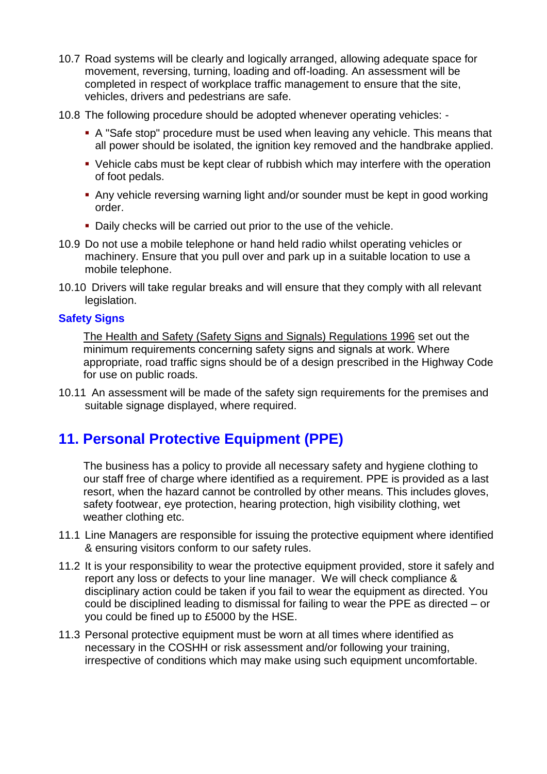- 10.7 Road systems will be clearly and logically arranged, allowing adequate space for movement, reversing, turning, loading and off-loading. An assessment will be completed in respect of workplace traffic management to ensure that the site, vehicles, drivers and pedestrians are safe.
- 10.8 The following procedure should be adopted whenever operating vehicles:
	- A "Safe stop" procedure must be used when leaving any vehicle. This means that all power should be isolated, the ignition key removed and the handbrake applied.
	- Vehicle cabs must be kept clear of rubbish which may interfere with the operation of foot pedals.
	- Any vehicle reversing warning light and/or sounder must be kept in good working order.
	- **Daily checks will be carried out prior to the use of the vehicle.**
- 10.9 Do not use a mobile telephone or hand held radio whilst operating vehicles or machinery. Ensure that you pull over and park up in a suitable location to use a mobile telephone.
- 10.10 Drivers will take regular breaks and will ensure that they comply with all relevant legislation.

#### **Safety Signs**

The Health and Safety (Safety Signs and Signals) Regulations 1996 set out the minimum requirements concerning safety signs and signals at work. Where appropriate, road traffic signs should be of a design prescribed in the Highway Code for use on public roads.

10.11 An assessment will be made of the safety sign requirements for the premises and suitable signage displayed, where required.

## **11. Personal Protective Equipment (PPE)**

The business has a policy to provide all necessary safety and hygiene clothing to our staff free of charge where identified as a requirement. PPE is provided as a last resort, when the hazard cannot be controlled by other means. This includes gloves, safety footwear, eye protection, hearing protection, high visibility clothing, wet weather clothing etc.

- 11.1 Line Managers are responsible for issuing the protective equipment where identified & ensuring visitors conform to our safety rules.
- 11.2 It is your responsibility to wear the protective equipment provided, store it safely and report any loss or defects to your line manager. We will check compliance & disciplinary action could be taken if you fail to wear the equipment as directed. You could be disciplined leading to dismissal for failing to wear the PPE as directed – or you could be fined up to £5000 by the HSE.
- 11.3 Personal protective equipment must be worn at all times where identified as necessary in the COSHH or risk assessment and/or following your training, irrespective of conditions which may make using such equipment uncomfortable.